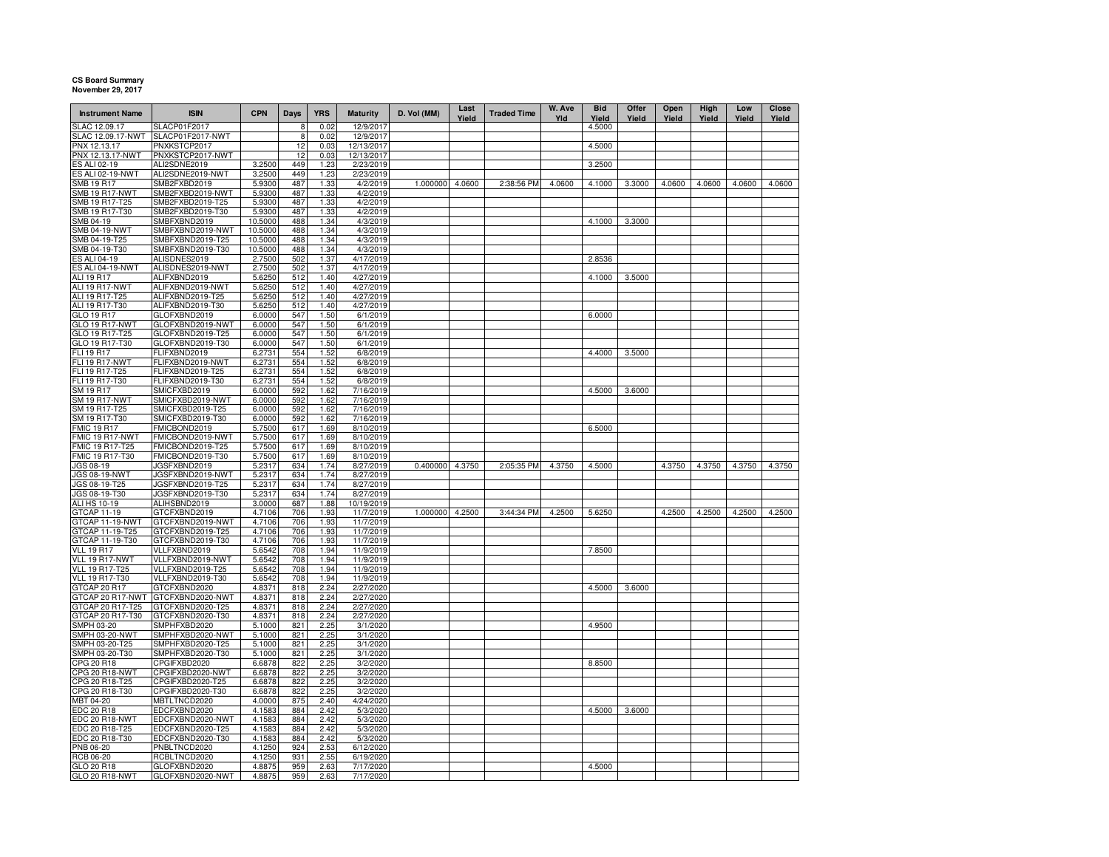## **CS Board SummaryNovember 29, 2017**

| <b>Instrument Name</b>                  | <b>ISIN</b>                          | <b>CPN</b>       | <b>Days</b> | <b>YRS</b>   | <b>Maturity</b>         | D. Vol (MM)     | Last<br>Yield | <b>Traded Time</b> | W. Ave<br>Yld | <b>Bid</b><br>Yield | Offer<br>Yield | Open<br>Yield | High<br>Yield | Low<br>Yield | Close<br>Yield |
|-----------------------------------------|--------------------------------------|------------------|-------------|--------------|-------------------------|-----------------|---------------|--------------------|---------------|---------------------|----------------|---------------|---------------|--------------|----------------|
| SLAC 12.09.17                           | SLACP01F2017                         |                  | 8           | 0.02         | 12/9/2017               |                 |               |                    |               | 4.5000              |                |               |               |              |                |
| SLAC 12.09.17-NWT                       | SLACP01F2017-NWT                     |                  | 8           | 0.02         | 12/9/2017               |                 |               |                    |               |                     |                |               |               |              |                |
| PNX 12.13.17                            | PNXKSTCP2017                         |                  | 12          | 0.03         | 12/13/2017              |                 |               |                    |               | 4.5000              |                |               |               |              |                |
| PNX 12.13.17-NWT<br><b>ES ALI 02-19</b> | PNXKSTCP2017-NWT<br>ALI2SDNE2019     | 3.2500           | 12<br>449   | 0.03<br>1.23 | 12/13/2017<br>2/23/2019 |                 |               |                    |               | 3.2500              |                |               |               |              |                |
| ES ALI 02-19-NWT                        | ALI2SDNE2019-NWT                     | 3.2500           | 449         | 1.23         | 2/23/2019               |                 |               |                    |               |                     |                |               |               |              |                |
| <b>SMB 19 R17</b>                       | SMB2FXBD2019                         | 5.9300           | 487         | 1.33         | 4/2/2019                | 1.000000        | 4.0600        | 2:38:56 PM         | 4.0600        | 4.1000              | 3.3000         | 4.0600        | 4.0600        | 4.0600       | 4.0600         |
| <b>SMB 19 R17-NWT</b>                   | SMB2FXBD2019-NWT                     | 5.9300           | 487         | 1.33         | 4/2/2019                |                 |               |                    |               |                     |                |               |               |              |                |
| SMB 19 R17-T25                          | SMB2FXBD2019-T25                     | 5.9300           | 487         | 1.33         | 4/2/2019                |                 |               |                    |               |                     |                |               |               |              |                |
| SMB 19 R17-T30                          | SMB2FXBD2019-T30                     | 5.9300           | 487         | 1.33         | 4/2/2019                |                 |               |                    |               |                     |                |               |               |              |                |
| SMB 04-19                               | SMBFXBND2019                         | 10.5000          | 488         | 1.34         | 4/3/2019                |                 |               |                    |               | 4.1000              | 3.3000         |               |               |              |                |
| <b>SMB 04-19-NWT</b>                    | SMBFXBND2019-NWT                     | 10.5000          | 488         | 1.34         | 4/3/2019                |                 |               |                    |               |                     |                |               |               |              |                |
| SMB 04-19-T25                           | SMBFXBND2019-T25                     | 10.5000          | 488         | 1.34         | 4/3/2019                |                 |               |                    |               |                     |                |               |               |              |                |
| SMB 04-19-T30                           | SMBFXBND2019-T30                     | 10.5000          | 488         | 1.34         | 4/3/2019                |                 |               |                    |               |                     |                |               |               |              |                |
| <b>ES ALI 04-19</b>                     | ALISDNES2019                         | 2.7500           | 502         | 1.37         | 4/17/2019               |                 |               |                    |               | 2.8536              |                |               |               |              |                |
| ES ALI 04-19-NWT<br>ALI 19 R17          | ALISDNES2019-NWT<br>ALIFXBND2019     | 2.7500<br>5.6250 | 502<br>512  | 1.37<br>1.40 | 4/17/2019<br>4/27/2019  |                 |               |                    |               | 4.1000              | 3.5000         |               |               |              |                |
| <b>ALI 19 R17-NWT</b>                   | ALIFXBND2019-NWT                     | 5.6250           | 512         | 1.40         | 4/27/2019               |                 |               |                    |               |                     |                |               |               |              |                |
| ALI 19 R17-T25                          | ALIFXBND2019-T25                     | 5.6250           | 512         | 1.40         | 4/27/2019               |                 |               |                    |               |                     |                |               |               |              |                |
| ALI 19 R17-T30                          | ALIFXBND2019-T30                     | 5.6250           | 512         | 1.40         | 4/27/2019               |                 |               |                    |               |                     |                |               |               |              |                |
| GLO 19 R17                              | GLOFXBND2019                         | 6.0000           | 547         | 1.50         | 6/1/2019                |                 |               |                    |               | 6.0000              |                |               |               |              |                |
| <b>GLO 19 R17-NWT</b>                   | GLOFXBND2019-NWT                     | 6.0000           | 547         | 1.50         | 6/1/2019                |                 |               |                    |               |                     |                |               |               |              |                |
| GLO 19 R17-T25                          | GLOFXBND2019-T25                     | 6.0000           | 547         | 1.50         | 6/1/2019                |                 |               |                    |               |                     |                |               |               |              |                |
| GLO 19 R17-T30                          | GLOFXBND2019-T30                     | 6.0000           | 547         | 1.50         | 6/1/2019                |                 |               |                    |               |                     |                |               |               |              |                |
| <b>FLI 19 R17</b>                       | FLIFXBND2019                         | 6.2731           | 554         | 1.52         | 6/8/2019                |                 |               |                    |               | 4.4000              | 3.5000         |               |               |              |                |
| <b>FLI 19 R17-NWT</b>                   | FLIFXBND2019-NWT                     | 6.2731           | 554         | 1.52         | 6/8/2019                |                 |               |                    |               |                     |                |               |               |              |                |
| FLI 19 R17-T25                          | FLIFXBND2019-T25                     | 6.2731           | 554         | 1.52         | 6/8/2019                |                 |               |                    |               |                     |                |               |               |              |                |
| FLI 19 R17-T30                          | FLIFXBND2019-T30                     | 6.2731           | 554         | 1.52         | 6/8/2019                |                 |               |                    |               | 4.5000              |                |               |               |              |                |
| SM 19 R17<br><b>SM 19 R17-NWT</b>       | SMICFXBD2019<br>SMICFXBD2019-NWT     | 6.0000<br>6.0000 | 592<br>592  | 1.62<br>1.62 | 7/16/2019<br>7/16/2019  |                 |               |                    |               |                     | 3.6000         |               |               |              |                |
| SM 19 R17-T25                           | SMICFXBD2019-T25                     | 6.0000           | 592         | 1.62         | 7/16/2019               |                 |               |                    |               |                     |                |               |               |              |                |
| SM 19 R17-T30                           | SMICFXBD2019-T30                     | 6.0000           | 592         | 1.62         | 7/16/2019               |                 |               |                    |               |                     |                |               |               |              |                |
| <b>FMIC 19 R17</b>                      | FMICBOND2019                         | 5.7500           | 617         | 1.69         | 8/10/2019               |                 |               |                    |               | 6.5000              |                |               |               |              |                |
| FMIC 19 R17-NWT                         | FMICBOND2019-NWT                     | 5.7500           | 617         | 1.69         | 8/10/2019               |                 |               |                    |               |                     |                |               |               |              |                |
| FMIC 19 R17-T25                         | FMICBOND2019-T25                     | 5.7500           | 617         | 1.69         | 8/10/2019               |                 |               |                    |               |                     |                |               |               |              |                |
| FMIC 19 R17-T30                         | FMICBOND2019-T30                     | 5.7500           | 617         | 1.69         | 8/10/2019               |                 |               |                    |               |                     |                |               |               |              |                |
| JGS 08-19                               | JGSFXBND2019                         | 5.2317           | 634         | 1.74         | 8/27/2019               | 0.400000 4.3750 |               | 2:05:35 PM         | 4.3750        | 4.5000              |                | 4.3750        | 4.3750        | 4.3750       | 4.3750         |
| <b>JGS 08-19-NWT</b>                    | JGSFXBND2019-NWT                     | 5.2317           | 634         | 1.74         | 8/27/2019               |                 |               |                    |               |                     |                |               |               |              |                |
| JGS 08-19-T25                           | JGSFXBND2019-T25                     | 5.2317           | 634         | 1.74         | 8/27/2019               |                 |               |                    |               |                     |                |               |               |              |                |
| JGS 08-19-T30<br>ALI HS 10-19           | JGSFXBND2019-T30<br>ALIHSBND2019     | 5.2317<br>3.0000 | 634<br>687  | 1.74<br>1.88 | 8/27/2019<br>10/19/2019 |                 |               |                    |               |                     |                |               |               |              |                |
| GTCAP 11-19                             | GTCFXBND2019                         | 4.7106           | 706         | 1.93         | 11/7/2019               | 1.000000        | 4.2500        | 3:44:34 PM         | 4.2500        | 5.6250              |                | 4.2500        | 4.2500        | 4.2500       | 4.2500         |
| GTCAP 11-19-NWT                         | GTCFXBND2019-NWT                     | 4.7106           | 706         | 1.93         | 11/7/2019               |                 |               |                    |               |                     |                |               |               |              |                |
| GTCAP 11-19-T25                         | GTCFXBND2019-T25                     | 4.7106           | 706         | 1.93         | 11/7/2019               |                 |               |                    |               |                     |                |               |               |              |                |
| GTCAP 11-19-T30                         | GTCFXBND2019-T30                     | 4.7106           | 706         | 1.93         | 11/7/2019               |                 |               |                    |               |                     |                |               |               |              |                |
| <b>VLL 19 R17</b>                       | VLLFXBND2019                         | 5.6542           | 708         | 1.94         | 11/9/2019               |                 |               |                    |               | 7.8500              |                |               |               |              |                |
| VLL 19 R17-NWT                          | VLLFXBND2019-NWT                     | 5.6542           | 708         | 1.94         | 11/9/2019               |                 |               |                    |               |                     |                |               |               |              |                |
| VLL 19 R17-T25                          | VLLFXBND2019-T25                     | 5.6542           | 708         | 1.94         | 11/9/2019               |                 |               |                    |               |                     |                |               |               |              |                |
| <b>VLL 19 R17-T30</b>                   | VLLFXBND2019-T30                     | 5.6542           | 708         | 1.94         | 11/9/2019               |                 |               |                    |               |                     |                |               |               |              |                |
| GTCAP 20 R17                            | GTCFXBND2020                         | 4.8371           | 818         | 2.24         | 2/27/2020               |                 |               |                    |               | 4.5000              | 3.6000         |               |               |              |                |
| GTCAP 20 R17-NWT<br>GTCAP 20 R17-T25    | GTCFXBND2020-NWT<br>GTCFXBND2020-T25 | 4.8371<br>4.8371 | 818<br>818  | 2.24<br>2.24 | 2/27/2020<br>2/27/2020  |                 |               |                    |               |                     |                |               |               |              |                |
| GTCAP 20 R17-T30                        | GTCFXBND2020-T30                     | 4.8371           | 818         | 2.24         | 2/27/2020               |                 |               |                    |               |                     |                |               |               |              |                |
| SMPH 03-20                              | SMPHFXBD2020                         | 5.1000           | 821         | 2.25         | 3/1/2020                |                 |               |                    |               | 4.9500              |                |               |               |              |                |
| SMPH 03-20-NWT                          | SMPHFXBD2020-NWT                     | 5.1000           | 821         | 2.25         | 3/1/2020                |                 |               |                    |               |                     |                |               |               |              |                |
| SMPH 03-20-T25                          | SMPHFXBD2020-T25                     | 5.1000           | 821         | 2.25         | 3/1/2020                |                 |               |                    |               |                     |                |               |               |              |                |
| SMPH 03-20-T30                          | SMPHFXBD2020-T30                     | 5.1000           | 821         | 2.25         | 3/1/2020                |                 |               |                    |               |                     |                |               |               |              |                |
| CPG 20 R18                              | CPGIFXBD2020                         | 6.6878           | 822         | 2.25         | 3/2/2020                |                 |               |                    |               | 8.8500              |                |               |               |              |                |
| CPG 20 R18-NWT                          | CPGIFXBD2020-NWT                     | 6.6878           | 822         | 2.25         | 3/2/2020                |                 |               |                    |               |                     |                |               |               |              |                |
| CPG 20 R18-T25                          | CPGIFXBD2020-T25                     | 6.6878           | 822         | 2.25         | 3/2/2020                |                 |               |                    |               |                     |                |               |               |              |                |
| CPG 20 R18-T30                          | CPGIFXBD2020-T30                     | 6.6878           | 822         | 2.25         | 3/2/2020                |                 |               |                    |               |                     |                |               |               |              |                |
| MBT 04-20                               | <b>MBTLTNCD2020</b>                  | 4.0000           | 875         | 2.40         | 4/24/2020               |                 |               |                    |               |                     |                |               |               |              |                |
| <b>EDC 20 R18</b><br>EDC 20 R18-NWT     | EDCFXBND2020<br>EDCFXBND2020-NWT     | 4.1583           | 884<br>884  | 2.42<br>2.42 | 5/3/2020<br>5/3/2020    |                 |               |                    |               | 4.5000              | 3.6000         |               |               |              |                |
| EDC 20 R18-T25                          | EDCFXBND2020-T25                     | 4.1583<br>4.1583 | 884         | 2.42         | 5/3/2020                |                 |               |                    |               |                     |                |               |               |              |                |
| EDC 20 R18-T30                          | EDCFXBND2020-T30                     | 4.1583           | 884         | 2.42         | 5/3/2020                |                 |               |                    |               |                     |                |               |               |              |                |
| PNB 06-20                               | PNBLTNCD2020                         | 4.1250           | 924         | 2.53         | 6/12/2020               |                 |               |                    |               |                     |                |               |               |              |                |
| <b>RCB 06-20</b>                        | RCBLTNCD2020                         | 4.1250           | 931         | 2.55         | 6/19/2020               |                 |               |                    |               |                     |                |               |               |              |                |
| GLO 20 R18                              | GLOFXBND2020                         | 4.8875           | 959         | 2.63         | 7/17/2020               |                 |               |                    |               | 4.5000              |                |               |               |              |                |
| GLO 20 R18-NWT                          | GLOFXBND2020-NWT                     | 4.8875           | 959         | 2.63         | 7/17/2020               |                 |               |                    |               |                     |                |               |               |              |                |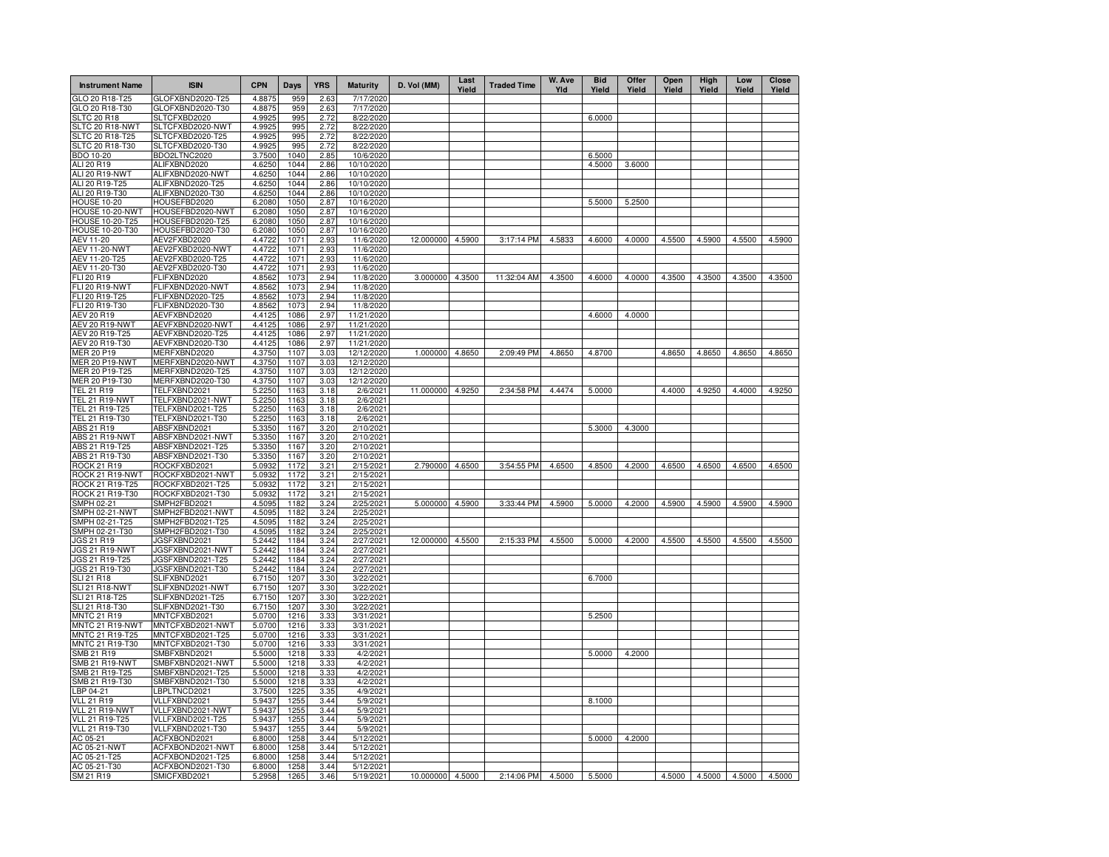| <b>Instrument Name</b>                | <b>ISIN</b>                          | <b>CPN</b>       | Days         | <b>YRS</b>   | <b>Maturity</b>          | D. Vol (MM)      | Last<br>Yield | <b>Traded Time</b> | W. Ave<br>Yld | <b>Bid</b><br>Yield | Offer<br>Yield | Open<br>Yield | High<br>Yield | Low<br>Yield                | <b>Close</b><br>Yield |
|---------------------------------------|--------------------------------------|------------------|--------------|--------------|--------------------------|------------------|---------------|--------------------|---------------|---------------------|----------------|---------------|---------------|-----------------------------|-----------------------|
| GLO 20 R18-T25                        | GLOFXBND2020-T25                     | 4.8875           | 959          | 2.63         | 7/17/2020                |                  |               |                    |               |                     |                |               |               |                             |                       |
| GLO 20 R18-T30                        | GLOFXBND2020-T30                     | 4.8875           | 959          | 2.63         | 7/17/2020                |                  |               |                    |               |                     |                |               |               |                             |                       |
| <b>SLTC 20 R18</b><br>SLTC 20 R18-NWT | SLTCFXBD2020<br>SLTCFXBD2020-NWT     | 4.9925<br>4.9925 | 995<br>995   | 2.72<br>2.72 | 8/22/2020<br>8/22/2020   |                  |               |                    |               | 6.0000              |                |               |               |                             |                       |
| SLTC 20 R18-T25                       | SLTCFXBD2020-T25                     | 4.9925           | 995          | 2.72         | 8/22/2020                |                  |               |                    |               |                     |                |               |               |                             |                       |
| SLTC 20 R18-T30                       | SLTCFXBD2020-T30                     | 4.9925           | 995          | 2.72         | 8/22/2020                |                  |               |                    |               |                     |                |               |               |                             |                       |
| BDO 10-20                             | BDO2LTNC2020                         | 3.7500           | 1040         | 2.85         | 10/6/2020                |                  |               |                    |               | 6.5000              |                |               |               |                             |                       |
| ALI 20 R19                            | ALIFXBND2020                         | 4.6250           | 1044         | 2.86         | 10/10/2020               |                  |               |                    |               | 4.5000              | 3.6000         |               |               |                             |                       |
| ALI 20 R19-NWT                        | ALIFXBND2020-NWT                     | 4.6250           | 1044         | 2.86         | 10/10/2020               |                  |               |                    |               |                     |                |               |               |                             |                       |
| ALI 20 R19-T25                        | ALIFXBND2020-T25                     | 4.6250           | 1044         | 2.86         | 10/10/2020               |                  |               |                    |               |                     |                |               |               |                             |                       |
| ALI 20 R19-T30<br><b>HOUSE 10-20</b>  | ALIFXBND2020-T30<br>HOUSEFBD2020     | 4.6250<br>6.2080 | 1044<br>1050 | 2.86<br>2.87 | 10/10/2020<br>10/16/2020 |                  |               |                    |               | 5.5000              | 5.2500         |               |               |                             |                       |
| HOUSE 10-20-NWT                       | HOUSEFBD2020-NWT                     | 6.2080           | 1050         | 2.87         | 10/16/2020               |                  |               |                    |               |                     |                |               |               |                             |                       |
| HOUSE 10-20-T25                       | HOUSEFBD2020-T25                     | 6.2080           | 1050         | 2.87         | 10/16/2020               |                  |               |                    |               |                     |                |               |               |                             |                       |
| HOUSE 10-20-T30                       | HOUSEFBD2020-T30                     | 6.2080           | 1050         | 2.87         | 10/16/2020               |                  |               |                    |               |                     |                |               |               |                             |                       |
| AEV 11-20                             | AEV2FXBD2020                         | 4.4722           | 1071         | 2.93         | 11/6/2020                | 12.000000 4.5900 |               | 3:17:14 PM         | 4.5833        | 4.6000              | 4.0000         | 4.5500        | 4.5900        | 4.5500                      | 4.5900                |
| <b>AEV 11-20-NWT</b>                  | AEV2FXBD2020-NWT                     | 4.4722           | 1071         | 2.93         | 11/6/2020                |                  |               |                    |               |                     |                |               |               |                             |                       |
| AEV 11-20-T25                         | AEV2FXBD2020-T25                     | 4.4722           | 1071         | 2.93         | 11/6/2020                |                  |               |                    |               |                     |                |               |               |                             |                       |
| AEV 11-20-T30                         | AEV2FXBD2020-T30                     | 4.4722           | 1071         | 2.93         | 11/6/2020                | 3.000000         |               | 11:32:04 AM        |               |                     |                |               |               |                             |                       |
| FLI 20 R19<br><b>FLI 20 R19-NWT</b>   | FLIFXBND2020<br>FLIFXBND2020-NWT     | 4.8562<br>4.8562 | 1073<br>1073 | 2.94<br>2.94 | 11/8/2020<br>11/8/2020   |                  | 4.3500        |                    | 4.3500        | 4.6000              | 4.0000         | 4.3500        | 4.3500        | 4.3500                      | 4.3500                |
| FLI 20 R19-T25                        | FLIFXBND2020-T25                     | 4.8562           | 1073         | 2.94         | 11/8/2020                |                  |               |                    |               |                     |                |               |               |                             |                       |
| FLI 20 R19-T30                        | FLIFXBND2020-T30                     | 4.8562           | 1073         | 2.94         | 11/8/2020                |                  |               |                    |               |                     |                |               |               |                             |                       |
| <b>AEV 20 R19</b>                     | AEVFXBND2020                         | 4.4125           | 1086         | 2.97         | 11/21/2020               |                  |               |                    |               | 4.6000              | 4.0000         |               |               |                             |                       |
| AEV 20 R19-NWT                        | AEVFXBND2020-NWT                     | 4.4125           | 1086         | 2.97         | 11/21/2020               |                  |               |                    |               |                     |                |               |               |                             |                       |
| AEV 20 R19-T25                        | AEVFXBND2020-T25                     | 4.4125           | 1086         | 2.97         | 11/21/2020               |                  |               |                    |               |                     |                |               |               |                             |                       |
| AEV 20 R19-T30                        | AEVFXBND2020-T30                     | 4.4125           | 1086         | 2.97         | 11/21/2020               |                  |               |                    |               |                     |                |               |               |                             |                       |
| <b>MER 20 P19</b>                     | MERFXBND2020                         | 4.3750           | 1107         | 3.03         | 12/12/2020               | 1.000000         | 4.8650        | 2:09:49 PM         | 4.8650        | 4.8700              |                | 4.8650        | 4.8650        | 4.8650                      | 4.8650                |
| MER 20 P19-NWT                        | MERFXBND2020-NWT                     | 4.3750           | 1107         | 3.03         | 12/12/2020               |                  |               |                    |               |                     |                |               |               |                             |                       |
| MER 20 P19-T25<br>MER 20 P19-T30      | MERFXBND2020-T25<br>MERFXBND2020-T30 | 4.3750<br>4.3750 | 1107<br>1107 | 3.03         | 12/12/2020<br>12/12/2020 |                  |               |                    |               |                     |                |               |               |                             |                       |
| <b>TEL 21 R19</b>                     | TELFXBND2021                         | 5.2250           | 1163         | 3.03<br>3.18 | 2/6/2021                 | 11.000000        | 4.9250        | 2:34:58 PM         | 4.4474        | 5.0000              |                | 4.4000        | 4.9250        | 4.4000                      | 4.9250                |
| <b>TEL 21 R19-NWT</b>                 | TELFXBND2021-NWT                     | 5.2250           | 1163         | 3.18         | 2/6/2021                 |                  |               |                    |               |                     |                |               |               |                             |                       |
| TEL 21 R19-T25                        | TELFXBND2021-T25                     | 5.2250           | 1163         | 3.18         | 2/6/2021                 |                  |               |                    |               |                     |                |               |               |                             |                       |
| TEL 21 R19-T30                        | TELFXBND2021-T30                     | 5.2250           | 1163         | 3.18         | 2/6/2021                 |                  |               |                    |               |                     |                |               |               |                             |                       |
| ABS 21 R19                            | ABSFXBND2021                         | 5.3350           | 1167         | 3.20         | 2/10/2021                |                  |               |                    |               | 5.3000              | 4.3000         |               |               |                             |                       |
| ABS 21 R19-NWT                        | ABSFXBND2021-NWT                     | 5.3350           | 1167         | 3.20         | 2/10/2021                |                  |               |                    |               |                     |                |               |               |                             |                       |
| ABS 21 R19-T25                        | ABSFXBND2021-T25                     | 5.3350           | 1167         | 3.20         | 2/10/2021                |                  |               |                    |               |                     |                |               |               |                             |                       |
| ABS 21 R19-T30<br><b>ROCK 21 R19</b>  | ABSFXBND2021-T30<br>ROCKFXBD2021     | 5.3350<br>5.0932 | 1167<br>1172 | 3.20<br>3.21 | 2/10/2021<br>2/15/2021   | 2.790000         | 4.6500        | 3:54:55 PM         | 4.6500        | 4.8500              | 4.2000         | 4.6500        | 4.6500        | 4.6500                      | 4.6500                |
| ROCK 21 R19-NWT                       | ROCKFXBD2021-NWT                     | 5.0932           | 1172         | 3.21         | 2/15/2021                |                  |               |                    |               |                     |                |               |               |                             |                       |
| ROCK 21 R19-T25                       | ROCKFXBD2021-T25                     | 5.0932           | 1172         | 3.21         | 2/15/2021                |                  |               |                    |               |                     |                |               |               |                             |                       |
| ROCK 21 R19-T30                       | ROCKFXBD2021-T30                     | 5.0932           | 1172         | 3.21         | 2/15/2021                |                  |               |                    |               |                     |                |               |               |                             |                       |
| SMPH 02-21                            | SMPH2FBD2021                         | 4.5095           | 1182         | 3.24         | 2/25/2021                | 5.000000         | 4.5900        | 3:33:44 PM         | 4.5900        | 5.0000              | 4.2000         | 4.5900        | 4.5900        | 4.5900                      | 4.5900                |
| SMPH 02-21-NWT                        | SMPH2FBD2021-NWT                     | 4.5095           | 1182         | 3.24         | 2/25/2021                |                  |               |                    |               |                     |                |               |               |                             |                       |
| SMPH 02-21-T25                        | SMPH2FBD2021-T25                     | 4.5095           | 1182         | 3.24         | 2/25/2021                |                  |               |                    |               |                     |                |               |               |                             |                       |
| SMPH 02-21-T30<br>JGS 21 R19          | SMPH2FBD2021-T30<br>JGSFXBND2021     | 4.5095<br>5.2442 | 1182<br>1184 | 3.24<br>3.24 | 2/25/2021<br>2/27/2021   | 12.000000        |               |                    |               |                     |                |               |               |                             | 4.5500                |
| JGS 21 R19-NWT                        | JGSFXBND2021-NWT                     | 5.2442           | 1184         | 3.24         | 2/27/2021                |                  | 4.5500        | 2:15:33 PM         | 4.5500        | 5.0000              | 4.2000         | 4.5500        | 4.5500        | 4.5500                      |                       |
| JGS 21 R19-T25                        | JGSFXBND2021-T25                     | 5.2442           | 1184         | 3.24         | 2/27/2021                |                  |               |                    |               |                     |                |               |               |                             |                       |
| JGS 21 R19-T30                        | JGSFXBND2021-T30                     | 5.2442           | 1184         | 3.24         | 2/27/2021                |                  |               |                    |               |                     |                |               |               |                             |                       |
| <b>SLI 21 R18</b>                     | SLIFXBND2021                         | 6.7150           | 1207         | 3.30         | 3/22/2021                |                  |               |                    |               | 6.7000              |                |               |               |                             |                       |
| SLI 21 R18-NWT                        | SLIFXBND2021-NWT                     | 6.7150           | 1207         | 3.30         | 3/22/2021                |                  |               |                    |               |                     |                |               |               |                             |                       |
| SLI 21 R18-T25                        | SLIFXBND2021-T25                     | 6.7150           | 1207         | 3.30         | 3/22/2021                |                  |               |                    |               |                     |                |               |               |                             |                       |
| SLI 21 R18-T30                        | SLIFXBND2021-T30                     | 6.7150           | 1207         | 3.30         | 3/22/2021                |                  |               |                    |               |                     |                |               |               |                             |                       |
| <b>MNTC 21 R19</b><br>MNTC 21 R19-NWT | MNTCFXBD2021<br>MNTCFXBD2021-NWT     | 5.0700<br>5.0700 | 1216<br>1216 | 3.33<br>3.33 | 3/31/2021<br>3/31/2021   |                  |               |                    |               | 5.2500              |                |               |               |                             |                       |
| MNTC 21 R19-T25                       | MNTCFXBD2021-T25                     | 5.0700           | 1216         | 3.33         | 3/31/2021                |                  |               |                    |               |                     |                |               |               |                             |                       |
| MNTC 21 R19-T30                       | MNTCFXBD2021-T30                     | 5.0700           | 1216         | 3.33         | 3/31/2021                |                  |               |                    |               |                     |                |               |               |                             |                       |
| SMB 21 R19                            | SMBFXBND2021                         | 5.5000           | 1218         | 3.33         | 4/2/2021                 |                  |               |                    |               | 5.0000              | 4.2000         |               |               |                             |                       |
| SMB 21 R19-NWT                        | SMBFXBND2021-NWT                     | 5.5000           | 1218         | 3.33         | 4/2/2021                 |                  |               |                    |               |                     |                |               |               |                             |                       |
| SMB 21 R19-T25                        | SMBFXBND2021-T25                     | 5.5000           | 1218         | 3.33         | 4/2/2021                 |                  |               |                    |               |                     |                |               |               |                             |                       |
| SMB 21 R19-T30                        | SMBFXBND2021-T30                     | 5.5000           | 1218         | 3.33         | 4/2/2021                 |                  |               |                    |               |                     |                |               |               |                             |                       |
| LBP 04-21                             | LBPLTNCD2021                         | 3.7500           | 1225         | 3.35         | 4/9/2021                 |                  |               |                    |               |                     |                |               |               |                             |                       |
| <b>VLL 21 R19</b>                     | VLLFXBND2021                         | 5.9437           | 1255         | 3.44         | 5/9/2021                 |                  |               |                    |               | 8.1000              |                |               |               |                             |                       |
| VLL 21 R19-NWT                        | VLLFXBND2021-NWT                     | 5.9437           | 1255         | 3.44         | 5/9/2021                 |                  |               |                    |               |                     |                |               |               |                             |                       |
| VLL 21 R19-T25<br>VLL 21 R19-T30      | VLLFXBND2021-T25<br>VLLFXBND2021-T30 | 5.9437<br>5.9437 | 1255<br>1255 | 3.44<br>3.44 | 5/9/2021<br>5/9/2021     |                  |               |                    |               |                     |                |               |               |                             |                       |
| AC 05-21                              | ACFXBOND2021                         | 6.8000           | 1258         | 3.44         | 5/12/2021                |                  |               |                    |               | 5.0000              | 4.2000         |               |               |                             |                       |
| AC 05-21-NWT                          | ACFXBOND2021-NWT                     | 6.8000           | 1258         | 3.44         | 5/12/2021                |                  |               |                    |               |                     |                |               |               |                             |                       |
| AC 05-21-T25                          | ACFXBOND2021-T25                     | 6.8000           | 1258         | 3.44         | 5/12/2021                |                  |               |                    |               |                     |                |               |               |                             |                       |
| AC 05-21-T30                          | ACFXBOND2021-T30                     | 6.8000           | 1258         | 3.44         | 5/12/2021                |                  |               |                    |               |                     |                |               |               |                             |                       |
| SM 21 R19                             | SMICFXBD2021                         | 5.2958           | 1265         | 3.46         | 5/19/2021                | 10.000000 4.5000 |               | 2:14:06 PM         | 4.5000        | 5.5000              |                |               |               | 4.5000 4.5000 4.5000 4.5000 |                       |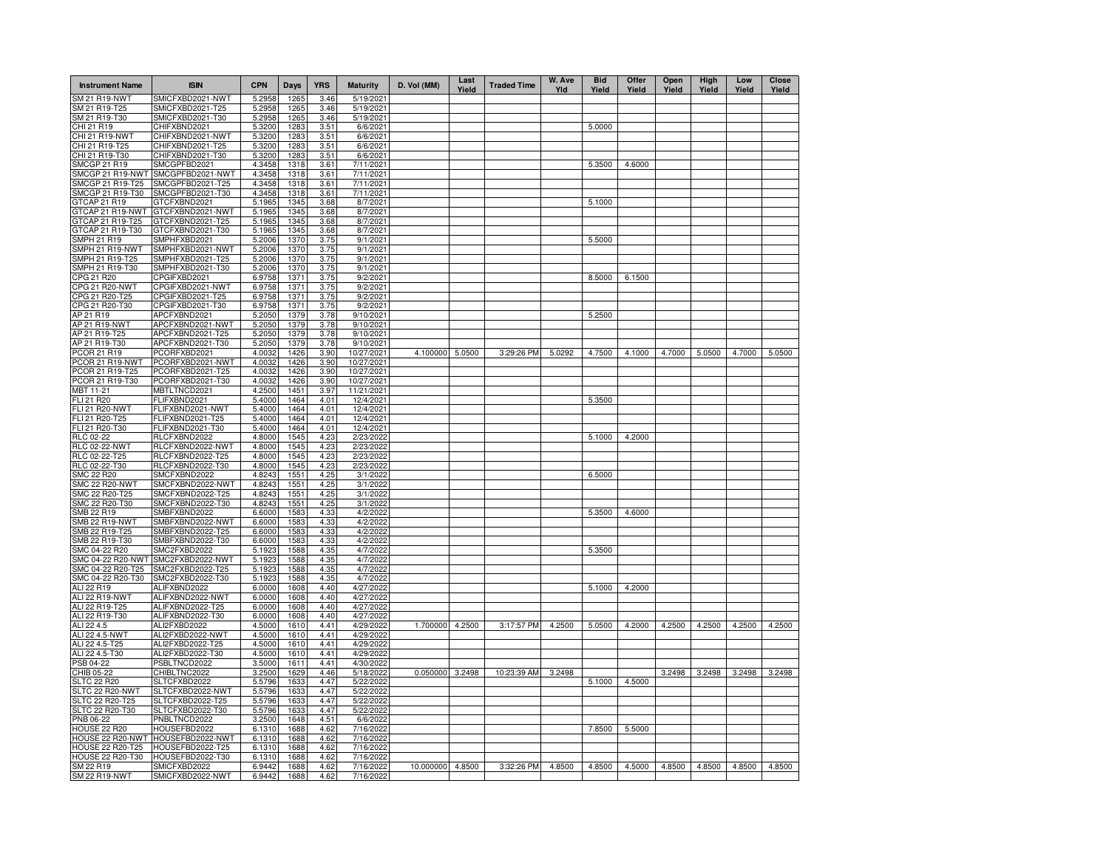| <b>Instrument Name</b>                | <b>ISIN</b>                          | <b>CPN</b>       | Days         | <b>YRS</b>   | <b>Maturity</b>          | D. Vol (MM)     | Last<br>Yield | <b>Traded Time</b> | W. Ave<br>Yld | <b>Bid</b><br>Yield | Offer<br>Yield | Open<br>Yield | <b>High</b><br>Yield | Low<br>Yield | Close<br>Yield |
|---------------------------------------|--------------------------------------|------------------|--------------|--------------|--------------------------|-----------------|---------------|--------------------|---------------|---------------------|----------------|---------------|----------------------|--------------|----------------|
| SM 21 R19-NWT                         | SMICFXBD2021-NWT                     | 5.2958           | 1265         | 3.46         | 5/19/2021                |                 |               |                    |               |                     |                |               |                      |              |                |
| SM 21 R19-T25                         | SMICFXBD2021-T25<br>SMICFXBD2021-T30 | 5.2958           | 1265         | 3.46         | 5/19/2021<br>5/19/2021   |                 |               |                    |               |                     |                |               |                      |              |                |
| SM 21 R19-T30<br>CHI 21 R19           | CHIFXBND2021                         | 5.2958<br>5.3200 | 1265<br>1283 | 3.46<br>3.51 | 6/6/2021                 |                 |               |                    |               | 5.0000              |                |               |                      |              |                |
| CHI 21 R19-NWT                        | CHIFXBND2021-NWT                     | 5.3200           | 1283         | 3.51         | 6/6/2021                 |                 |               |                    |               |                     |                |               |                      |              |                |
| CHI 21 R19-T25                        | CHIFXBND2021-T25                     | 5.3200           | 1283         | 3.51         | 6/6/2021                 |                 |               |                    |               |                     |                |               |                      |              |                |
| CHI 21 R19-T30                        | CHIFXBND2021-T30                     | 5.3200           | 1283         | 3.51         | 6/6/2021                 |                 |               |                    |               |                     |                |               |                      |              |                |
| <b>SMCGP 21 R19</b>                   | SMCGPFBD2021                         | 4.3458           | 1318         | 3.61         | 7/11/2021                |                 |               |                    |               | 5.3500              | 4.6000         |               |                      |              |                |
| SMCGP 21 R19-NWT<br>SMCGP 21 R19-T25  | SMCGPFBD2021-NWT<br>SMCGPFBD2021-T25 | 4.3458<br>4.3458 | 1318<br>1318 | 3.61<br>3.61 | 7/11/2021<br>7/11/2021   |                 |               |                    |               |                     |                |               |                      |              |                |
| SMCGP 21 R19-T30                      | SMCGPFBD2021-T30                     | 4.3458           | 1318         | 3.61         | 7/11/2021                |                 |               |                    |               |                     |                |               |                      |              |                |
| GTCAP 21 R19                          | GTCFXBND2021                         | 5.1965           | 1345         | 3.68         | 8/7/2021                 |                 |               |                    |               | 5.1000              |                |               |                      |              |                |
| GTCAP 21 R19-NWT                      | GTCFXBND2021-NWT                     | 5.1965           | 1345         | 3.68         | 8/7/2021                 |                 |               |                    |               |                     |                |               |                      |              |                |
| GTCAP 21 R19-T25                      | GTCFXBND2021-T25                     | 5.1965           | 1345         | 3.68         | 8/7/2021                 |                 |               |                    |               |                     |                |               |                      |              |                |
| GTCAP 21 R19-T30                      | GTCFXBND2021-T30                     | 5.1965           | 1345         | 3.68         | 8/7/2021                 |                 |               |                    |               |                     |                |               |                      |              |                |
| SMPH 21 R19<br>SMPH 21 R19-NWT        | SMPHFXBD2021<br>SMPHFXBD2021-NWT     | 5.2006<br>5.2006 | 1370<br>1370 | 3.75<br>3.75 | 9/1/2021<br>9/1/2021     |                 |               |                    |               | 5.5000              |                |               |                      |              |                |
| SMPH 21 R19-T25                       | SMPHFXBD2021-T25                     | 5.2006           | 1370         | 3.75         | 9/1/2021                 |                 |               |                    |               |                     |                |               |                      |              |                |
| SMPH 21 R19-T30                       | SMPHFXBD2021-T30                     | 5.2006           | 1370         | 3.75         | 9/1/2021                 |                 |               |                    |               |                     |                |               |                      |              |                |
| CPG 21 R20                            | CPGIFXBD2021                         | 6.9758           | 1371         | 3.75         | 9/2/2021                 |                 |               |                    |               | 8.5000              | 6.1500         |               |                      |              |                |
| CPG 21 R20-NWT                        | CPGIFXBD2021-NWT                     | 6.9758           | 1371         | 3.75         | 9/2/2021                 |                 |               |                    |               |                     |                |               |                      |              |                |
| CPG 21 R20-T25                        | CPGIFXBD2021-T25                     | 6.9758           | 1371         | 3.75         | 9/2/2021                 |                 |               |                    |               |                     |                |               |                      |              |                |
| CPG 21 R20-T30<br>AP 21 R19           | CPGIFXBD2021-T30<br>APCFXBND2021     | 6.9758<br>5.2050 | 1371<br>1379 | 3.75<br>3.78 | 9/2/2021<br>9/10/2021    |                 |               |                    |               | 5.2500              |                |               |                      |              |                |
| AP 21 R19-NWT                         | APCFXBND2021-NWT                     | 5.2050           | 1379         | 3.78         | 9/10/2021                |                 |               |                    |               |                     |                |               |                      |              |                |
| AP 21 R19-T25                         | APCFXBND2021-T25                     | 5.2050           | 1379         | 3.78         | 9/10/2021                |                 |               |                    |               |                     |                |               |                      |              |                |
| AP 21 R19-T30                         | APCFXBND2021-T30                     | 5.2050           | 1379         | 3.78         | 9/10/2021                |                 |               |                    |               |                     |                |               |                      |              |                |
| <b>PCOR 21 R19</b>                    | PCORFXBD2021                         | 4.0032           | 1426         | 3.90         | 10/27/2021               | 4.100000        | 5.0500        | 3:29:26 PM         | 5.0292        | 4.7500              | 4.1000         | 4.7000        | 5.0500               | 4.7000       | 5.0500         |
| PCOR 21 R19-NWT                       | PCORFXBD2021-NWT                     | 4.0032           | 1426         | 3.90         | 10/27/2021               |                 |               |                    |               |                     |                |               |                      |              |                |
| PCOR 21 R19-T25                       | PCORFXBD2021-T25                     | 4.0032           | 1426         | 3.90         | 10/27/2021               |                 |               |                    |               |                     |                |               |                      |              |                |
| PCOR 21 R19-T30<br>MBT 11-21          | PCORFXBD2021-T30<br>MBTLTNCD2021     | 4.0032<br>4.2500 | 1426<br>1451 | 3.90<br>3.97 | 10/27/2021<br>11/21/2021 |                 |               |                    |               |                     |                |               |                      |              |                |
| FLI 21 R20                            | FLIFXBND2021                         | 5.4000           | 1464         | 4.01         | 12/4/2021                |                 |               |                    |               | 5.3500              |                |               |                      |              |                |
| <b>FLI 21 R20-NWT</b>                 | FLIFXBND2021-NWT                     | 5.4000           | 1464         | 4.01         | 12/4/2021                |                 |               |                    |               |                     |                |               |                      |              |                |
| FLI 21 R20-T25                        | FLIFXBND2021-T25                     | 5.4000           | 1464         | 4.01         | 12/4/2021                |                 |               |                    |               |                     |                |               |                      |              |                |
| FLI 21 R20-T30                        | FLIFXBND2021-T30                     | 5.4000           | 1464         | 4.01         | 12/4/2021                |                 |               |                    |               |                     |                |               |                      |              |                |
| <b>RLC 02-22</b>                      | RLCFXBND2022                         | 4.8000           | 1545         | 4.23         | 2/23/2022                |                 |               |                    |               | 5.1000              | 4.2000         |               |                      |              |                |
| <b>RLC 02-22-NWT</b><br>RLC 02-22-T25 | RLCFXBND2022-NWT<br>RLCFXBND2022-T25 | 4.8000<br>4.8000 | 1545<br>1545 | 4.23<br>4.23 | 2/23/2022<br>2/23/2022   |                 |               |                    |               |                     |                |               |                      |              |                |
| RLC 02-22-T30                         | RLCFXBND2022-T30                     | 4.8000           | 1545         | 4.23         | 2/23/2022                |                 |               |                    |               |                     |                |               |                      |              |                |
| <b>SMC 22 R20</b>                     | SMCFXBND2022                         | 4.8243           | 1551         | 4.25         | 3/1/2022                 |                 |               |                    |               | 6.5000              |                |               |                      |              |                |
| <b>SMC 22 R20-NWT</b>                 | SMCFXBND2022-NWT                     | 4.8243           | 1551         | 4.25         | 3/1/2022                 |                 |               |                    |               |                     |                |               |                      |              |                |
| SMC 22 R20-T25                        | SMCFXBND2022-T25                     | 4.8243           | 1551         | 4.25         | 3/1/2022                 |                 |               |                    |               |                     |                |               |                      |              |                |
| SMC 22 R20-T30                        | SMCFXBND2022-T30                     | 4.8243           | 1551         | 4.25         | 3/1/2022                 |                 |               |                    |               |                     |                |               |                      |              |                |
| SMB 22 R19<br><b>SMB 22 R19-NWT</b>   | SMBFXBND2022<br>SMBFXBND2022-NWT     | 6.6000<br>6.6000 | 1583<br>1583 | 4.33<br>4.33 | 4/2/2022<br>4/2/2022     |                 |               |                    |               | 5.3500              | 4.6000         |               |                      |              |                |
| SMB 22 R19-T25                        | SMBFXBND2022-T25                     | 6.6000           | 1583         | 4.33         | 4/2/2022                 |                 |               |                    |               |                     |                |               |                      |              |                |
| SMB 22 R19-T30                        | SMBFXBND2022-T30                     | 6.6000           | 1583         | 4.33         | 4/2/2022                 |                 |               |                    |               |                     |                |               |                      |              |                |
| SMC 04-22 R20                         | SMC2FXBD2022                         | 5.1923           | 1588         | 4.35         | 4/7/2022                 |                 |               |                    |               | 5.3500              |                |               |                      |              |                |
| SMC 04-22 R20-NWT                     | SMC2FXBD2022-NWT                     | 5.1923           | 1588         | 4.35         | 4/7/2022                 |                 |               |                    |               |                     |                |               |                      |              |                |
| SMC 04-22 R20-T25                     | SMC2FXBD2022-T25                     | 5.1923           | 1588         | 4.35         | 4/7/2022                 |                 |               |                    |               |                     |                |               |                      |              |                |
| SMC 04-22 R20-T30<br>ALI 22 R19       | SMC2FXBD2022-T30<br>ALIFXBND2022     | 5.1923<br>6.0000 | 1588<br>1608 | 4.35<br>4.40 | 4/7/2022<br>4/27/2022    |                 |               |                    |               | 5.1000              | 4.2000         |               |                      |              |                |
| ALI 22 R19-NWT                        | ALIFXBND2022-NWT                     | 6.0000           | 1608         | 4.40         | 4/27/2022                |                 |               |                    |               |                     |                |               |                      |              |                |
| ALI 22 R19-T25                        | ALIFXBND2022-T25                     | 6.0000           | 1608         | 4.40         | 4/27/2022                |                 |               |                    |               |                     |                |               |                      |              |                |
| ALI 22 R19-T30                        | ALIFXBND2022-T30                     | 6.0000           | 1608         | 4.40         | 4/27/2022                |                 |               |                    |               |                     |                |               |                      |              |                |
| ALI 22 4.5                            | ALI2FXBD2022                         | 4.5000           | 1610         | 4.41         | 4/29/2022                | 1.700000        | 4.2500        | 3:17:57 PM         | 4.2500        | 5.0500              | 4.2000         | 4.2500        | 4.2500               | 4.2500       | 4.2500         |
| ALI 22 4.5-NWT                        | ALI2FXBD2022-NWT                     | 4.5000           | 1610         | 4.41         | 4/29/2022                |                 |               |                    |               |                     |                |               |                      |              |                |
| ALI 22 4.5-T25<br>ALI 22 4.5-T30      | ALI2FXBD2022-T25<br>ALI2FXBD2022-T30 | 4.5000<br>4.5000 | 1610<br>1610 | 4.41<br>4.41 | 4/29/2022<br>4/29/2022   |                 |               |                    |               |                     |                |               |                      |              |                |
| PSB 04-22                             | PSBLTNCD2022                         | 3.5000           | 1611         | 4.41         | 4/30/2022                |                 |               |                    |               |                     |                |               |                      |              |                |
| CHIB 05-22                            | CHIBLTNC2022                         | 3.2500           | 1629         | 4.46         | 5/18/2022                | 0.050000 3.2498 |               | 10:23:39 AM        | 3.2498        |                     |                | 3.2498        | 3.2498               | 3.2498       | 3.2498         |
| <b>SLTC 22 R20</b>                    | SLTCFXBD2022                         | 5.5796           | 1633         | 4.47         | 5/22/2022                |                 |               |                    |               | 5.1000              | 4.5000         |               |                      |              |                |
| SLTC 22 R20-NWT                       | SLTCFXBD2022-NWT                     | 5.5796           | 1633         | 4.47         | 5/22/2022                |                 |               |                    |               |                     |                |               |                      |              |                |
| SLTC 22 R20-T25                       | SLTCFXBD2022-T25                     | 5.5796           | 1633         | 4.47         | 5/22/2022                |                 |               |                    |               |                     |                |               |                      |              |                |
| SLTC 22 R20-T30<br>PNB 06-22          | SLTCFXBD2022-T30<br>PNBLTNCD2022     | 5.5796<br>3.2500 | 1633<br>1648 | 4.47<br>4.51 | 5/22/2022<br>6/6/2022    |                 |               |                    |               |                     |                |               |                      |              |                |
| HOUSE 22 R20                          | HOUSEFBD202                          | 6.1310           | 1688         | 4.62         | 7/16/2022                |                 |               |                    |               | 7.8500              | 5.5000         |               |                      |              |                |
|                                       | HOUSE 22 R20-NWT HOUSEFBD2022-NWT    | 6.1310           | 1688         | 4.62         | 7/16/2022                |                 |               |                    |               |                     |                |               |                      |              |                |
| HOUSE 22 R20-T25                      | HOUSEFBD2022-T25                     | 6.1310           | 1688         | 4.62         | 7/16/2022                |                 |               |                    |               |                     |                |               |                      |              |                |
| <b>HOUSE 22 R20-T30</b>               | HOUSEFBD2022-T30                     | 6.1310           | 1688         | 4.62         | 7/16/2022                |                 |               |                    |               |                     |                |               |                      |              |                |
| SM 22 R19                             | SMICFXBD2022                         | 6.9442           | 1688         | 4.62         | 7/16/2022                | 10.000000       | 4.8500        | 3:32:26 PM         | 4.8500        | 4.8500              | 4.5000         | 4.8500        | 4.8500               | 4.8500       | 4.8500         |
| <b>SM 22 R19-NWT</b>                  | SMICFXBD2022-NWT                     | 6.9442           | 1688         | 4.62         | 7/16/2022                |                 |               |                    |               |                     |                |               |                      |              |                |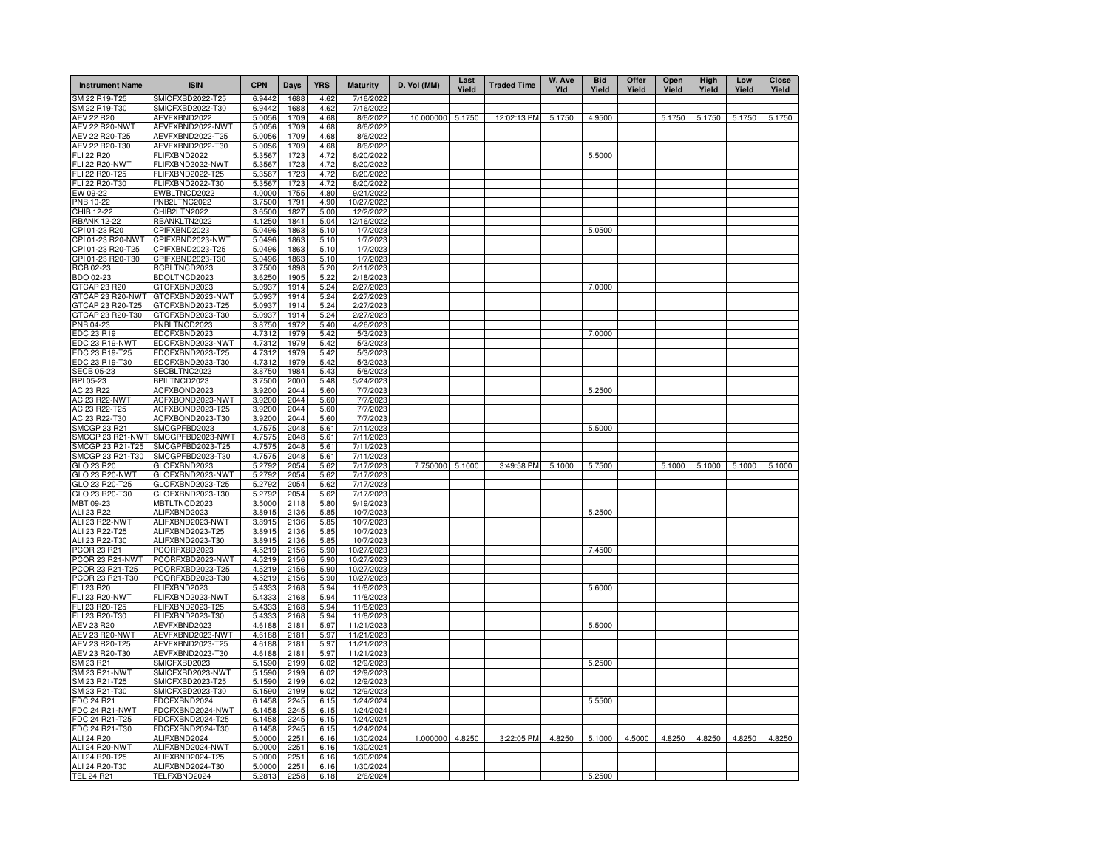| <b>Instrument Name</b>                | <b>ISIN</b>                          | <b>CPN</b>       | Days         | <b>YRS</b>   | <b>Maturity</b>          | D. Vol (MM) | Last<br>Yield | <b>Traded Time</b> | W. Ave<br>Yld | <b>Bid</b><br>Yield | Offer<br>Yield | Open<br>Yield | High<br>Yield | Low<br>Yield | Close<br>Yield |
|---------------------------------------|--------------------------------------|------------------|--------------|--------------|--------------------------|-------------|---------------|--------------------|---------------|---------------------|----------------|---------------|---------------|--------------|----------------|
| SM 22 R19-T25                         | SMICFXBD2022-T25                     | 6.9442           | 1688         | 4.62         | 7/16/2022                |             |               |                    |               |                     |                |               |               |              |                |
| SM 22 R19-T30                         | SMICFXBD2022-T30<br>AEVFXBND2022     | 6.9442           | 1688         | 4.62         | 7/16/2022                | 10.000000   | 5.1750        | 12:02:13 PM        | 5.1750        | 4.9500              |                | 5.1750        | 5.1750        | 5.1750       | 5.1750         |
| AEV 22 R20<br><b>AEV 22 R20-NWT</b>   | AEVFXBND2022-NWT                     | 5.0056<br>5.0056 | 1709<br>1709 | 4.68<br>4.68 | 8/6/2022<br>8/6/2022     |             |               |                    |               |                     |                |               |               |              |                |
| AEV 22 R20-T25                        | AEVFXBND2022-T25                     | 5.0056           | 1709         | 4.68         | 8/6/2022                 |             |               |                    |               |                     |                |               |               |              |                |
| AEV 22 R20-T30                        | AEVFXBND2022-T30                     | 5.0056           | 1709         | 4.68         | 8/6/2022                 |             |               |                    |               |                     |                |               |               |              |                |
| FLI 22 R20                            | FLIFXBND2022                         | 5.3567           | 1723         | 4.72         | 8/20/202                 |             |               |                    |               | 5.5000              |                |               |               |              |                |
| <b>FLI 22 R20-NWT</b>                 | FLIFXBND2022-NWT                     | 5.3567           | 1723         | 4.72         | 8/20/202                 |             |               |                    |               |                     |                |               |               |              |                |
| FLI 22 R20-T25                        | FLIFXBND2022-T25                     | 5.3567           | 1723         | 4.72         | 8/20/202                 |             |               |                    |               |                     |                |               |               |              |                |
| FLI 22 R20-T30                        | FLIFXBND2022-T30                     | 5.3567           | 1723         | 4.72         | 8/20/202                 |             |               |                    |               |                     |                |               |               |              |                |
| EW 09-22<br><b>PNB 10-22</b>          | EWBLTNCD2022<br>PNB2LTNC2022         | 4.0000<br>3.7500 | 1755<br>1791 | 4.80<br>4.90 | 9/21/202<br>10/27/202    |             |               |                    |               |                     |                |               |               |              |                |
| <b>CHIB 12-22</b>                     | CHIB2LTN2022                         | 3.6500           | 1827         | 5.00         | 12/2/202                 |             |               |                    |               |                     |                |               |               |              |                |
| <b>RBANK 12-22</b>                    | RBANKLTN2022                         | 4.1250           | 1841         | 5.04         | 12/16/202                |             |               |                    |               |                     |                |               |               |              |                |
| CPI 01-23 R20                         | CPIFXBND2023                         | 5.0496           | 1863         | 5.10         | 1/7/202                  |             |               |                    |               | 5.0500              |                |               |               |              |                |
| CPI 01-23 R20-NWT                     | CPIFXBND2023-NWT                     | 5.0496           | 1863         | 5.10         | 1/7/202                  |             |               |                    |               |                     |                |               |               |              |                |
| CPI 01-23 R20-T25                     | CPIFXBND2023-T25                     | 5.0496           | 1863         | 5.10         | 1/7/202                  |             |               |                    |               |                     |                |               |               |              |                |
| CPI 01-23 R20-T30                     | CPIFXBND2023-T30                     | 5.0496           | 1863         | 5.10         | 1/7/202                  |             |               |                    |               |                     |                |               |               |              |                |
| RCB 02-23                             | RCBLTNCD2023                         | 3.7500           | 1898         | 5.20         | 2/11/2023                |             |               |                    |               |                     |                |               |               |              |                |
| BDO 02-23<br>GTCAP 23 R20             | BDOLTNCD2023<br>GTCFXBND2023         | 3.6250<br>5.0937 | 1905<br>1914 | 5.22<br>5.24 | 2/18/2023<br>2/27/2023   |             |               |                    |               | 7.0000              |                |               |               |              |                |
| GTCAP 23 R20-NWT                      | GTCFXBND2023-NWT                     | 5.0937           | 1914         | 5.24         | 2/27/2023                |             |               |                    |               |                     |                |               |               |              |                |
| GTCAP 23 R20-T25                      | GTCFXBND2023-T25                     | 5.0937           | 1914         | 5.24         | 2/27/2023                |             |               |                    |               |                     |                |               |               |              |                |
| GTCAP 23 R20-T30                      | GTCFXBND2023-T30                     | 5.0937           | 1914         | 5.24         | 2/27/2023                |             |               |                    |               |                     |                |               |               |              |                |
| PNB 04-23                             | PNBLTNCD2023                         | 3.8750           | 1972         | 5.40         | 4/26/2023                |             |               |                    |               |                     |                |               |               |              |                |
| EDC 23 R19                            | EDCFXBND2023                         | 4.7312           | 1979         | 5.42         | 5/3/2023                 |             |               |                    |               | 7.0000              |                |               |               |              |                |
| EDC 23 R19-NWT                        | EDCFXBND2023-NWT                     | 4.7312           | 1979         | 5.42         | 5/3/2023                 |             |               |                    |               |                     |                |               |               |              |                |
| EDC 23 R19-T25                        | EDCFXBND2023-T25                     | 4.7312           | 1979         | 5.42         | 5/3/2023                 |             |               |                    |               |                     |                |               |               |              |                |
| EDC 23 R19-T30                        | EDCFXBND2023-T30                     | 4.7312           | 1979         | 5.42         | 5/3/2023                 |             |               |                    |               |                     |                |               |               |              |                |
| <b>SECB 05-23</b><br>BPI 05-23        | SECBLTNC2023<br>BPILTNCD2023         | 3.8750<br>3.7500 | 1984<br>2000 | 5.43<br>5.48 | 5/8/202                  |             |               |                    |               |                     |                |               |               |              |                |
| AC 23 R22                             | ACFXBOND2023                         | 3.9200           | 2044         | 5.60         | 5/24/2023<br>7/7/202     |             |               |                    |               | 5.2500              |                |               |               |              |                |
| AC 23 R22-NWT                         | ACFXBOND2023-NWT                     | 3.9200           | 2044         | 5.60         | 7/7/202                  |             |               |                    |               |                     |                |               |               |              |                |
| AC 23 R22-T25                         | ACFXBOND2023-T25                     | 3.9200           | 2044         | 5.60         | 7/7/202                  |             |               |                    |               |                     |                |               |               |              |                |
| AC 23 R22-T30                         | ACFXBOND2023-T30                     | 3.9200           | 2044         | 5.60         | 7/7/202                  |             |               |                    |               |                     |                |               |               |              |                |
| SMCGP 23 R21                          | SMCGPFBD2023                         | 4.7575           | 2048         | 5.61         | 7/11/202                 |             |               |                    |               | 5.5000              |                |               |               |              |                |
| SMCGP 23 R21-NWT                      | SMCGPFBD2023-NWT                     | 4.7575           | 2048         | 5.61         | 7/11/202                 |             |               |                    |               |                     |                |               |               |              |                |
| SMCGP 23 R21-T25                      | SMCGPFBD2023-T25                     | 4.7575           | 2048         | 5.61         | 7/11/202                 |             |               |                    |               |                     |                |               |               |              |                |
| SMCGP 23 R21-T30                      | SMCGPFBD2023-T30                     | 4.7575           | 2048         | 5.61         | 7/11/202                 |             |               |                    |               |                     |                |               |               |              |                |
| GLO 23 R20<br>GLO 23 R20-NWT          | GLOFXBND2023<br>GLOFXBND2023-NWT     | 5.2792<br>5.2792 | 2054<br>2054 | 5.62<br>5.62 | 7/17/202<br>7/17/202     | 7.750000    | 5.1000        | 3:49:58 PM         | 5.1000        | 5.7500              |                | 5.1000        | 5.1000        | 5.1000       | 5.1000         |
| GLO 23 R20-T25                        | GLOFXBND2023-T25                     | 5.2792           | 2054         | 5.62         | 7/17/202                 |             |               |                    |               |                     |                |               |               |              |                |
| GLO 23 R20-T30                        | GLOFXBND2023-T30                     | 5.2792           | 2054         | 5.62         | 7/17/202                 |             |               |                    |               |                     |                |               |               |              |                |
| MBT 09-23                             | MBTLTNCD2023                         | 3.5000           | 2118         | 5.80         | 9/19/2023                |             |               |                    |               |                     |                |               |               |              |                |
| <b>ALI 23 R22</b>                     | ALIFXBND2023                         | 3.8915           | 2136         | 5.85         | 10/7/2023                |             |               |                    |               | 5.2500              |                |               |               |              |                |
| ALI 23 R22-NWT                        | ALIFXBND2023-NWT                     | 3.8915           | 2136         | 5.85         | 10/7/2023                |             |               |                    |               |                     |                |               |               |              |                |
| ALI 23 R22-T25                        | ALIFXBND2023-T25                     | 3.8915           | 2136         | 5.85         | 10/7/2023                |             |               |                    |               |                     |                |               |               |              |                |
| ALI 23 R22-T30                        | ALIFXBND2023-T30                     | 3.8915           | 2136         | 5.85         | 10/7/2023                |             |               |                    |               |                     |                |               |               |              |                |
| <b>PCOR 23 R21</b><br>PCOR 23 R21-NWT | PCORFXBD2023<br>PCORFXBD2023-NWT     | 4.5219<br>4.5219 | 2156<br>2156 | 5.90<br>5.90 | 10/27/2023<br>10/27/2023 |             |               |                    |               | 7.4500              |                |               |               |              |                |
| PCOR 23 R21-T25                       | PCORFXBD2023-T25                     | 4.5219           | 2156         | 5.90         | 10/27/2023               |             |               |                    |               |                     |                |               |               |              |                |
| PCOR 23 R21-T30                       | PCORFXBD2023-T30                     | 4.5219           | 2156         | 5.90         | 10/27/2023               |             |               |                    |               |                     |                |               |               |              |                |
| FLI 23 R20                            | FLIFXBND2023                         | 5.4333           | 2168         | 5.94         | 11/8/2023                |             |               |                    |               | 5.6000              |                |               |               |              |                |
| FLI 23 R20-NWT                        | FLIFXBND2023-NWT                     | 5.4333           | 2168         | 5.94         | 11/8/2023                |             |               |                    |               |                     |                |               |               |              |                |
| FLI 23 R20-T25                        | FLIFXBND2023-T25                     | 5.4333           | 2168         | 5.94         | 11/8/2023                |             |               |                    |               |                     |                |               |               |              |                |
| FLI 23 R20-T30                        | FLIFXBND2023-T30                     | 5.4333           | 2168         | 5.94         | 11/8/2023                |             |               |                    |               |                     |                |               |               |              |                |
| <b>AEV 23 R20</b>                     | AEVFXBND2023                         | 4.6188           | 2181<br>218  | 5.97         | 11/21/202                |             |               |                    |               | 5.5000              |                |               |               |              |                |
| AEV 23 R20-NWT<br>AEV 23 R20-T25      | AEVFXBND2023-NWT<br>AEVFXBND2023-T25 | 4.6188<br>4.6188 | 218          | 5.97<br>5.97 | 11/21/202<br>11/21/202   |             |               |                    |               |                     |                |               |               |              |                |
| AEV 23 R20-T30                        | AEVFXBND2023-T30                     | 4.6188           | 218          | 5.97         | 11/21/202                |             |               |                    |               |                     |                |               |               |              |                |
| SM 23 R21                             | SMICFXBD2023                         | 5.1590           | 2199         | 6.02         | 12/9/202                 |             |               |                    |               | 5.2500              |                |               |               |              |                |
| SM 23 R21-NWT                         | SMICFXBD2023-NWT                     | 5.1590           | 2199         | 6.02         | 12/9/202                 |             |               |                    |               |                     |                |               |               |              |                |
| SM 23 R21-T25                         | SMICFXBD2023-T25                     | 5.1590           | 2199         | 6.02         | 12/9/202                 |             |               |                    |               |                     |                |               |               |              |                |
| SM 23 R21-T30                         | SMICFXBD2023-T30                     | 5.1590           | 2199         | 6.02         | 12/9/202                 |             |               |                    |               |                     |                |               |               |              |                |
| FDC 24 R21                            | FDCFXBND2024                         | 6.1458           | 2245         | 6.15         | 1/24/2024                |             |               |                    |               | 5.5500              |                |               |               |              |                |
| FDC 24 R21-NWT                        | FDCFXBND2024-NWT                     | 6.1458           | 2245         | 6.15         | 1/24/2024                |             |               |                    |               |                     |                |               |               |              |                |
| FDC 24 R21-T25                        | FDCFXBND2024-T25                     | 6.1458           | 2245         | 6.15         | 1/24/2024                |             |               |                    |               |                     |                |               |               |              |                |
| FDC 24 R21-T30<br>ALI 24 R20          | FDCFXBND2024-T30<br>ALIFXBND2024     | 6.1458<br>5.0000 | 2245<br>2251 | 6.15<br>6.16 | 1/24/2024<br>1/30/2024   | 1.000000    | 4.8250        | 3:22:05 PM         | 4.8250        | 5.1000              | 4.5000         | 4.8250        | 4.8250        | 4.8250       | 4.8250         |
| <b>ALI 24 R20-NWT</b>                 | ALIFXBND2024-NWT                     | 5.0000           | 2251         | 6.16         | 1/30/2024                |             |               |                    |               |                     |                |               |               |              |                |
| ALI 24 R20-T25                        | ALIFXBND2024-T25                     | 5.0000           | 2251         | 6.16         | 1/30/2024                |             |               |                    |               |                     |                |               |               |              |                |
| ALI 24 R20-T30                        | ALIFXBND2024-T30                     | 5.0000           | 2251         | 6.16         | 1/30/2024                |             |               |                    |               |                     |                |               |               |              |                |
| <b>TEL 24 R21</b>                     | TELFXBND2024                         | 5.2813           | 2258         | 6.18         | 2/6/2024                 |             |               |                    |               | 5.2500              |                |               |               |              |                |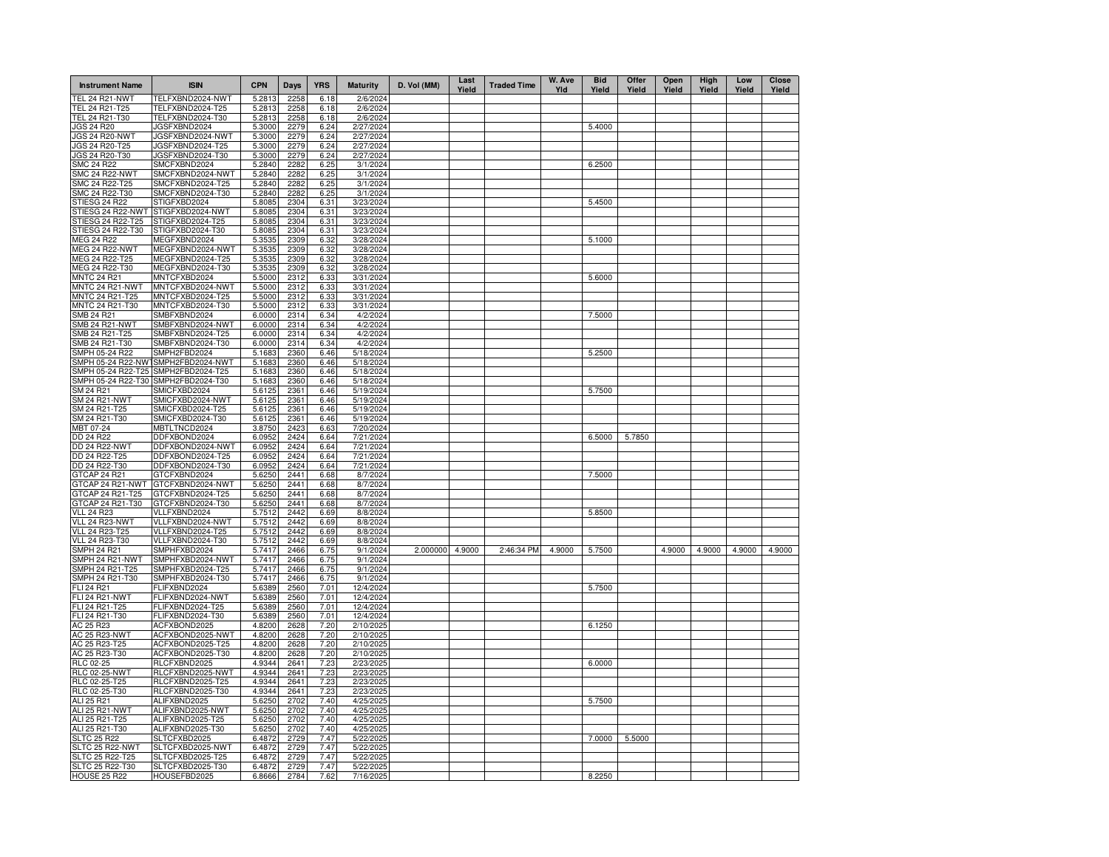| <b>Instrument Name</b>                | <b>ISIN</b>                          | <b>CPN</b>       | Days         | <b>YRS</b>   | <b>Maturity</b>        | D. Vol (MM)     | Last<br>Yield | <b>Traded Time</b> | W. Ave<br>Yld | <b>Bid</b><br>Yield | Offer<br>Yield | Open<br>Yield | High<br>Yield | Low<br>Yield | Close<br>Yield |
|---------------------------------------|--------------------------------------|------------------|--------------|--------------|------------------------|-----------------|---------------|--------------------|---------------|---------------------|----------------|---------------|---------------|--------------|----------------|
| <b>TEL 24 R21-NWT</b>                 | TELFXBND2024-NWT                     | 5.2813           | 2258         | 6.18         | 2/6/2024               |                 |               |                    |               |                     |                |               |               |              |                |
| TEL 24 R21-T25                        | TELFXBND2024-T25                     | 5.2813           | 2258         | 6.18         | 2/6/2024               |                 |               |                    |               |                     |                |               |               |              |                |
| TEL 24 R21-T30<br>JGS 24 R20          | TELFXBND2024-T30<br>JGSFXBND2024     | 5.2813<br>5.3000 | 2258<br>2279 | 6.18<br>6.24 | 2/6/2024<br>2/27/2024  |                 |               |                    |               | 5.4000              |                |               |               |              |                |
| JGS 24 R20-NWT                        | JGSFXBND2024-NWT                     | 5.3000           | 2279         | 6.24         | 2/27/2024              |                 |               |                    |               |                     |                |               |               |              |                |
| JGS 24 R20-T25                        | JGSFXBND2024-T25                     | 5.3000           | 2279         | 6.24         | 2/27/2024              |                 |               |                    |               |                     |                |               |               |              |                |
| JGS 24 R20-T30                        | JGSFXBND2024-T30                     | 5.3000           | 2279         | 6.24         | 2/27/2024              |                 |               |                    |               |                     |                |               |               |              |                |
| <b>SMC 24 R22</b>                     | SMCFXBND2024                         | 5.2840           | 2282         | 6.25         | 3/1/2024               |                 |               |                    |               | 6.2500              |                |               |               |              |                |
| <b>SMC 24 R22-NWT</b>                 | SMCFXBND2024-NWT                     | 5.2840           | 2282         | 6.25         | 3/1/2024               |                 |               |                    |               |                     |                |               |               |              |                |
| SMC 24 R22-T25<br>SMC 24 R22-T30      | SMCFXBND2024-T25<br>SMCFXBND2024-T30 | 5.2840<br>5.2840 | 2282<br>2282 | 6.25<br>6.25 | 3/1/2024<br>3/1/2024   |                 |               |                    |               |                     |                |               |               |              |                |
| <b>STIESG 24 R22</b>                  | STIGFXBD2024                         | 5.8085           | 2304         | 6.31         | 3/23/2024              |                 |               |                    |               | 5.4500              |                |               |               |              |                |
| STIESG 24 R22-NWT                     | STIGFXBD2024-NWT                     | 5.8085           | 2304         | 6.31         | 3/23/2024              |                 |               |                    |               |                     |                |               |               |              |                |
| STIESG 24 R22-T25                     | STIGFXBD2024-T25                     | 5.8085           | 2304         | 6.31         | 3/23/2024              |                 |               |                    |               |                     |                |               |               |              |                |
| STIESG 24 R22-T30                     | STIGFXBD2024-T30                     | 5.8085           | 2304         | 6.31         | 3/23/2024              |                 |               |                    |               |                     |                |               |               |              |                |
| <b>MEG 24 R22</b>                     | MEGFXBND2024                         | 5.3535           | 2309         | 6.32         | 3/28/2024              |                 |               |                    |               | 5.1000              |                |               |               |              |                |
| MEG 24 R22-NWT                        | MEGFXBND2024-NWT                     | 5.3535           | 2309         | 6.32         | 3/28/2024              |                 |               |                    |               |                     |                |               |               |              |                |
| MEG 24 R22-T25<br>MEG 24 R22-T30      | MEGFXBND2024-T25<br>MEGFXBND2024-T30 | 5.3535           | 2309<br>2309 | 6.32         | 3/28/2024<br>3/28/2024 |                 |               |                    |               |                     |                |               |               |              |                |
| <b>MNTC 24 R21</b>                    | MNTCFXBD2024                         | 5.3535<br>5.5000 | 2312         | 6.32<br>6.33 | 3/31/2024              |                 |               |                    |               | 5.6000              |                |               |               |              |                |
| MNTC 24 R21-NWT                       | MNTCFXBD2024-NWT                     | 5.5000           | 2312         | 6.33         | 3/31/2024              |                 |               |                    |               |                     |                |               |               |              |                |
| MNTC 24 R21-T25                       | MNTCFXBD2024-T25                     | 5.5000           | 2312         | 6.33         | 3/31/2024              |                 |               |                    |               |                     |                |               |               |              |                |
| MNTC 24 R21-T30                       | MNTCFXBD2024-T30                     | 5.5000           | 2312         | 6.33         | 3/31/2024              |                 |               |                    |               |                     |                |               |               |              |                |
| <b>SMB 24 R21</b>                     | SMBFXBND2024                         | 6.0000           | 2314         | 6.34         | 4/2/2024               |                 |               |                    |               | 7.5000              |                |               |               |              |                |
| <b>SMB 24 R21-NWT</b>                 | SMBFXBND2024-NWT                     | 6.0000           | 2314         | 6.34         | 4/2/2024               |                 |               |                    |               |                     |                |               |               |              |                |
| SMB 24 R21-T25                        | SMBFXBND2024-T25                     | 6.0000           | 2314         | 6.34         | 4/2/2024               |                 |               |                    |               |                     |                |               |               |              |                |
| SMB 24 R21-T30<br>SMPH 05-24 R22      | SMBFXBND2024-T30<br>SMPH2FBD2024     | 6.0000<br>5.1683 | 2314<br>2360 | 6.34<br>6.46 | 4/2/2024<br>5/18/2024  |                 |               |                    |               | 5.2500              |                |               |               |              |                |
| SMPH 05-24 R22-NW                     | SMPH2FBD2024-NWT                     | 5.1683           | 2360         | 6.46         | 5/18/2024              |                 |               |                    |               |                     |                |               |               |              |                |
| SMPH 05-24 R22-T25                    | SMPH2FBD2024-T25                     | 5.1683           | 2360         | 6.46         | 5/18/2024              |                 |               |                    |               |                     |                |               |               |              |                |
| SMPH 05-24 R22-T30                    | SMPH2FBD2024-T30                     | 5.1683           | 2360         | 6.46         | 5/18/2024              |                 |               |                    |               |                     |                |               |               |              |                |
| SM 24 R21                             | SMICFXBD2024                         | 5.6125           | 2361         | 6.46         | 5/19/2024              |                 |               |                    |               | 5.7500              |                |               |               |              |                |
| SM 24 R21-NWT                         | SMICFXBD2024-NWT                     | 5.6125           | 2361         | 6.46         | 5/19/2024              |                 |               |                    |               |                     |                |               |               |              |                |
| SM 24 R21-T25                         | SMICFXBD2024-T25                     | 5.6125           | 2361         | 6.46         | 5/19/2024              |                 |               |                    |               |                     |                |               |               |              |                |
| SM 24 R21-T30<br>MBT 07-24            | SMICFXBD2024-T30<br>MBTLTNCD2024     | 5.6125<br>3.8750 | 2361<br>2423 | 6.46<br>6.63 | 5/19/2024<br>7/20/2024 |                 |               |                    |               |                     |                |               |               |              |                |
| <b>DD 24 R22</b>                      | DDFXBOND2024                         | 6.0952           | 2424         | 6.64         | 7/21/2024              |                 |               |                    |               | 6.5000              | 5.7850         |               |               |              |                |
| <b>DD 24 R22-NWT</b>                  | DDFXBOND2024-NWT                     | 6.0952           | 2424         | 6.64         | 7/21/2024              |                 |               |                    |               |                     |                |               |               |              |                |
| DD 24 R22-T25                         | DDFXBOND2024-T25                     | 6.0952           | 2424         | 6.64         | 7/21/2024              |                 |               |                    |               |                     |                |               |               |              |                |
| DD 24 R22-T30                         | DDFXBOND2024-T30                     | 6.0952           | 2424         | 6.64         | 7/21/2024              |                 |               |                    |               |                     |                |               |               |              |                |
| GTCAP 24 R21                          | GTCFXBND2024                         | 5.6250           | 2441         | 6.68         | 8/7/2024               |                 |               |                    |               | 7.5000              |                |               |               |              |                |
| GTCAP 24 R21-NWT                      | GTCFXBND2024-NWT                     | 5.6250           | 2441         | 6.68         | 8/7/2024               |                 |               |                    |               |                     |                |               |               |              |                |
| GTCAP 24 R21-T25<br>GTCAP 24 R21-T30  | GTCFXBND2024-T25<br>GTCFXBND2024-T30 | 5.6250<br>5.6250 | 2441<br>2441 | 6.68<br>6.68 | 8/7/2024<br>8/7/2024   |                 |               |                    |               |                     |                |               |               |              |                |
| <b>VLL 24 R23</b>                     | VLLFXBND2024                         | 5.7512           | 2442         | 6.69         | 8/8/2024               |                 |               |                    |               | 5.8500              |                |               |               |              |                |
| VLL 24 R23-NWT                        | VLLFXBND2024-NWT                     | 5.7512           | 2442         | 6.69         | 8/8/2024               |                 |               |                    |               |                     |                |               |               |              |                |
| <b>VLL 24 R23-T25</b>                 | VLLFXBND2024-T25                     | 5.7512           | 2442         | 6.69         | 8/8/2024               |                 |               |                    |               |                     |                |               |               |              |                |
| VLL 24 R23-T30                        | VLLFXBND2024-T30                     | 5.7512           | 2442         | 6.69         | 8/8/2024               |                 |               |                    |               |                     |                |               |               |              |                |
| <b>SMPH 24 R21</b>                    | SMPHFXBD2024                         | 5.7417           | 2466         | 6.75         | 9/1/2024               | 2.000000 4.9000 |               | 2:46:34 PM         | 4.9000        | 5.7500              |                | 4.9000        | 4.9000        | 4.9000       | 4.9000         |
| SMPH 24 R21-NWT                       | SMPHFXBD2024-NWT                     | 5.7417           | 2466         | 6.75         | 9/1/2024               |                 |               |                    |               |                     |                |               |               |              |                |
| SMPH 24 R21-T25<br>SMPH 24 R21-T30    | SMPHFXBD2024-T25<br>SMPHFXBD2024-T30 | 5.7417<br>5.7417 | 2466<br>2466 | 6.75<br>6.75 | 9/1/2024<br>9/1/2024   |                 |               |                    |               |                     |                |               |               |              |                |
| FLI 24 R21                            | FLIFXBND2024                         | 5.6389           | 2560         | 7.01         | 12/4/2024              |                 |               |                    |               | 5.7500              |                |               |               |              |                |
| FLI 24 R21-NWT                        | FLIFXBND2024-NWT                     | 5.6389           | 2560         | 7.01         | 12/4/2024              |                 |               |                    |               |                     |                |               |               |              |                |
| FLI 24 R21-T25                        | FLIFXBND2024-T25                     | 5.6389           | 2560         | 7.01         | 12/4/2024              |                 |               |                    |               |                     |                |               |               |              |                |
| FLI 24 R21-T30                        | FLIFXBND2024-T30                     | 5.6389           | 2560         | 7.01         | 12/4/2024              |                 |               |                    |               |                     |                |               |               |              |                |
| AC 25 R23                             | ACFXBOND2025                         | 4.8200           | 2628         | 7.20         | 2/10/2025              |                 |               |                    |               | 6.1250              |                |               |               |              |                |
| <b>AC 25 R23-NWT</b><br>AC 25 R23-T25 | ACFXBOND2025-NWT<br>ACFXBOND2025-T25 | 4.8200<br>4.8200 | 2628<br>2628 | 7.20<br>7.20 | 2/10/202<br>2/10/202   |                 |               |                    |               |                     |                |               |               |              |                |
| AC 25 R23-T30                         | ACFXBOND2025-T30                     | 4.8200           | 2628         | 7.20         | 2/10/202               |                 |               |                    |               |                     |                |               |               |              |                |
| <b>RLC 02-25</b>                      | RLCFXBND2025                         | 4.9344           | 2641         | 7.23         | 2/23/202               |                 |               |                    |               | 6.0000              |                |               |               |              |                |
| <b>RLC 02-25-NWT</b>                  | RLCFXBND2025-NWT                     | 4.9344           | 2641         | 7.23         | 2/23/202               |                 |               |                    |               |                     |                |               |               |              |                |
| RLC 02-25-T25                         | RLCFXBND2025-T25                     | 4.9344           | 2641         | 7.23         | 2/23/202               |                 |               |                    |               |                     |                |               |               |              |                |
| RLC 02-25-T30                         | RLCFXBND2025-T30                     | 4.9344           | 2641         | 7.23         | 2/23/202               |                 |               |                    |               |                     |                |               |               |              |                |
| ALI 25 R21                            | ALIFXBND2025                         | 5.6250           | 2702         | 7.40         | 4/25/202               |                 |               |                    |               | 5.7500              |                |               |               |              |                |
| ALI 25 R21-NWT<br>ALI 25 R21-T25      | ALIFXBND2025-NWT<br>ALIFXBND2025-T25 | 5.6250<br>5.6250 | 2702<br>2702 | 7.40<br>7.40 | 4/25/202<br>4/25/202   |                 |               |                    |               |                     |                |               |               |              |                |
| ALI 25 R21-T30                        | ALIFXBND2025-T30                     | 5.6250           | 2702         | 7.40         | 4/25/2025              |                 |               |                    |               |                     |                |               |               |              |                |
| <b>SLTC 25 R22</b>                    | SLTCFXBD2025                         | 6.4872           | 2729         | 7.47         | 5/22/2025              |                 |               |                    |               | 7.0000              | 5.5000         |               |               |              |                |
| <b>SLTC 25 R22-NWT</b>                | SLTCFXBD2025-NWT                     | 6.4872           | 2729         | 7.47         | 5/22/2025              |                 |               |                    |               |                     |                |               |               |              |                |
| SLTC 25 R22-T25                       | SLTCFXBD2025-T25                     | 6.4872           | 2729         | 7.47         | 5/22/2025              |                 |               |                    |               |                     |                |               |               |              |                |
| SLTC 25 R22-T30                       | SLTCFXBD2025-T30                     | 6.4872           | 2729         | 7.47         | 5/22/2025              |                 |               |                    |               |                     |                |               |               |              |                |
| <b>HOUSE 25 R22</b>                   | HOUSEFBD2025                         | 6.8666           | 2784         | 7.62         | 7/16/2025              |                 |               |                    |               | 8.2250              |                |               |               |              |                |